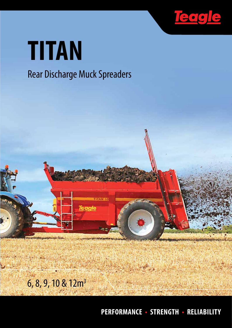

# **TITAN**

# Rear Discharge Muck Spreaders



**PERFORMANCE • STRENGTH • RELIABILITY**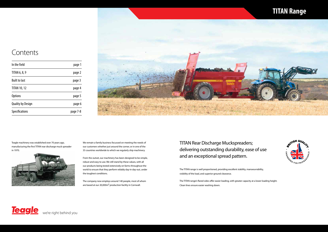## **TITAN Range**



TITAN Rear Discharge Muckspreaders; delivering outstanding durability, ease of use and an exceptional spread pattern.

The TITAN range is well proportioned, providing excellent stability, manoeuvrability, visibility of the load, and superior ground clearance.

The TITAN range's flared sides offer easier loading, with greater capacity at a lower loading height. Clean lines ensure easier washing down.

Teagle machinery was established over 70 years ago, manufacturing the first TITAN rear discharge muck spreader in 1970.



The company now employs around 140 people, most of whom are based at our 20,000m<sup>2</sup> production facility in Cornwall.

We remain a family business focussed on meeting the needs of our customers whether just around the corner, or in one of the 35 countries worldwide to which we regularly ship machinery.

From the outset, our machinery has been designed to be simple, robust and easy to use. We still stand by these values, with all our products being tested extensively on farms throughout the world to ensure that they perform reliably day-in day-out, under the toughest conditions.

### **Contents**

| In the field             | page 1   |
|--------------------------|----------|
| TITAN 6, 8, 9            | page 2   |
| <b>Built to last</b>     | page 3   |
| <b>TITAN 10, 12</b>      | page 4   |
| <b>Options</b>           | page 5   |
| <b>Quality by Design</b> | page 6   |
| <b>Specifications</b>    | page 7-8 |

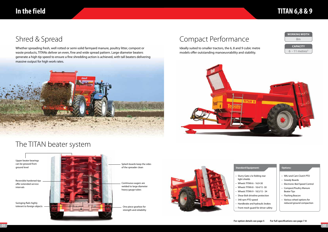- light shields
- 
- 
- 
- 
- Handbrake and hydraulic brakes • Front mesh guard for driver safety

### Compact Performance

Ideally suited to smaller tractors, the 6, 8 and 9 cubic metre models offer outstanding manoeuvrability and stability.





### **Standard Equipment: Options:**

# **In the field TITAN 6,8 & 9**

Upper beater bearings can be greased from ground level

Reversible hardened tips offer extended service intervals

- Slurry Gate c/w folding rear • Wheels TITAN 6 - 16.9-30 • Wheels TITAN 8 - 18.4/15 -30 • Wheels TITAN 9 - 18.5/15 - 34 • Shear Bolt driveline protection • 540 rpm PTO speed
- 
- WAJ and Cam Clutch PTO
- Greedy Boards
- Electronic Bed Speed Control
- Compost/Poultry Manure Beater Tips
- Flashing Beacon
- Various wheel options for reduced ground compaction
- **For option details see page 5 For full specifications see page 7-8**

Splash boards keep the sides of the spreader clean

Swinging flails highly



strength and reliability



### The TITAN beater system

# Shred & Spread

Whether spreading fresh, well rotted or semi-solid farmyard manure, poultry litter, compost or waste products, TITANs deliver an even, fine and wide spread pattern. Large diameter beaters generate a high tip speed to ensure a fine shredding action is achieved, with tall beaters delivering massive output for high work rates.



Continuous augers are welded to large diameter heavy gauge tubes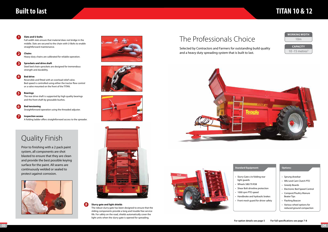### The Professionals Choice

# **TITAN 10 & 12**



### Standard Equipment: **Containery Options:**

### **Built to last**

Full width slats ensure that material does not bridge in the middle. Slats are secured to the chain with U-Bolts to enable straightforward maintenance.

Heavy duty chains are calibrated for reliable operation.

Steel bed chain sprockets are designed for tremendous strength and durability.

#### **Slats and U-bolts 1**

Reversible and fitted with an overload relief valve. Bed speed is controlled using either the tractor flow control or a valve mounted on the front of the TITAN.

#### **Chains 2**

#### **Sprockets and drive shaft 3**

#### **Bed drive 4**

The rear drive shaft is supported by high quality bearings and the front shaft by greasable bushes.

#### **Bearings 5**

**Bed tensioning** Straightforward operation using the threaded adjuster. **6**

**Inspection access** A folding ladder offers straightforward access to the spreader.

**7**









Selected by Contractors and Farmers for outstanding build quality and a heavy duty spreading system that is built to last.





- light guards
- 
- 
- 
- 
- Sprung drawbar
- WAJ and Cam Clutch PTO
- Greedy Boards
- Electronic Bed Speed Control
- Compost/Poultry Manure Beater Tips
- Flashing Beacon
- Various wheel options for reduced ground compaction
- Slurry Gate c/w folding rear
	-
- Wheels 580/70 R38
- Shear Bolt driveline protection
- 1000 rpm PTO speed
- Handbrake and hydraulic brakes
- Front mesh guard for driver safety

### **8 Slurry gate and light shields**

The robust slurry gate has been designed to ensure that the sliding components provide a long and trouble free service life. For safety on the road, shields automatically cover the light units when the slurry gate is opened for spreading.

### Quality Finish

Prior to finishing with a 2 pack paint system, all components are shot blasted to ensure that they are clean and provide the best possible keying surface for the paint. All seams are continuously welded or sealed to protect against corrosion.

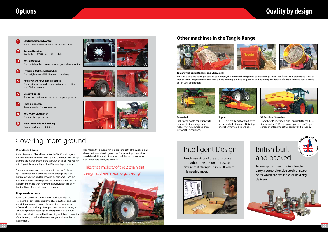# **Options Quality by design**





# Covering more ground

### **W.O. Steele & Sons**

Adrian Steele runs Chapel Farm, a 440 ha (1,090 acre) organic unit near Pershore in Worcestershire. Environmental stewardship is core to the management of the farm, which since 1985 has run both Organic Entry and Higher level Stewardship schemes.

Correct maintenance of the nutrients in the farm's clover leys is essential, and is achieved largely through the straw that is grown being sold for growing mushrooms. Once the mushrooms have been cropped, the substrate is returned to the farm and mixed with farmyard manure. It is at this point that the Titan 10 Spreader enters the story.

### **Simple maintenance**

Adrian considered various makes of muck spreader and selected the Titan "based on it's weight, robustness and ease of maintenance, and because the machine is manufactured in Cornwall, the proximity of support was also an advantage – should a problem occur, speed of response is paramount". Adrian "was also impressed by the cutting and shredding action of the beaters, as well as the consistent ground cover behind the spreader."

Dan Martin the driver says "I like the simplicity of the 2 chain slat design as there is less to go wrong. For spreading compost we fitted the additional kit of compost paddles, which also work well in standard Farmyard Manure."

### **Tomahawk Feeder Bedders and Straw Mills**

No. 1 for silage and straw processing equipment, the Tomahawk range offer outstanding performance from a comprehensive range of models. If you are processing straw for cubicle housing, poultry, briquetting and pelleting, or addition of fibre to TMR we have a model to suit your application.





**Super-Ted** High speed swath conditioners to promote faster drying. Ideal for recovery of rain damaged crops – wet weather insurance.

#### **Toppers** 4' – 10' cut width, belt or shaft drive, in-line and offset models. Finishing and roller mowers also available.

### **Other machines in the Teagle Range**



**XT Fertiliser Spreaders** From the 234 litre single disc Compact 8 to the 1350 litre twin disc XT48 with quadruple overlap, Teagle spreaders offer simplicity, accuracy and reliability.

- **Electric bed speed control** For accurate and convenient in-cab rate control. **1**
- **Sprung Drawbar** Available on TITAN 10 and 12 models **2**
- **Wheel Options** For special applications or reduced ground compaction. **3**
- **Hydraulic Jack/Clevis Drawbar** For straightforward hitching and unhitching. **4**
- **Poultry Manure/Compost Paddles**  For greater spread widths and an improved pattern with friable materials. **5**
- **Greedy Boards** For extra capacity from the same compact spreader. **6**
- **Flashing Beacon** Recommended for highway use. **7**
- **WAJ / Cam Clutch PTO** For non-stop spreading. **8**
- **High speed axle and braking** Contact us for more details. **9**









**4**







### "I like the simplicity of the 2 chain slat design as there is less to go wrong."

# British built and backed



To keep your Titan running, Teagle carry a comprehensive stock of spare parts which are available for next day delivery.

# Intelligent Design

Teagle use state of the art software throughout the design process to ensure that strength is in-built where it is needed most.

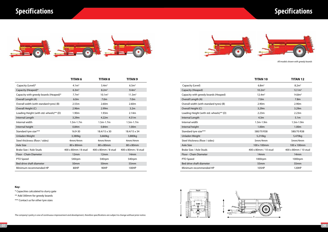# **Specifications**





# **Specifications**

|                                         | TITAN 6             | TITAN 8             | TITAN 9             |
|-----------------------------------------|---------------------|---------------------|---------------------|
| Capacity (Level)*                       | 4.1 <sup>3</sup>    | 5.4 <sup>3</sup>    | 6.5 <sup>3</sup>    |
| Capacity (Heaped)*                      | 6.3 <sup>3</sup>    | 8.2 <sup>3</sup>    | 9.4 <sup>3</sup>    |
| Capacity with greedy boards (Heaped)*   | 7.7 <sup>3</sup>    | 10.1 <sup>3</sup>   | 11.3m <sup>3</sup>  |
| Overall Length (A)                      | 6.0 <sub>m</sub>    | 7.0 <sub>m</sub>    | 7.0m                |
| Overall width (with standard tyres) (B) | 2.55m               | 2.60m               | 2.60m               |
| Overall Height (C)                      | 2.96m               | 2.99m               | 3.2 <sub>m</sub>    |
| Loading Height (with std. wheels)** (D) | 1.90m               | 1.93 <sub>m</sub>   | 2.14m               |
| Internal Length                         | 3.29m               | 4.22m               | 4.31m               |
| Internal width                          | $1.5m-1.7m$         | $1.5m-1.7m$         | $1.5m-1.7m$         |
| Internal height                         | 0.84m               | 0.84m               | 1.00m               |
| Standard tyre size***                   | 16.9-30             | 18.4/15 x 30        | 18.4/15 x 34        |
| Unladen Weight                          | 3,380kg             | 3,660kg             | 3,880kg             |
| Steel thickness (floor / sides)         | 4mm/4mm             | 4mm/4mm             | 4mm/4mm             |
| <b>Axle Size</b>                        | 80 x 80mm           | 80 x 80mm           | 80 x 80mm           |
| Brake Size / Axle Studs                 | 400 x 80mm / 8 stud | 400 x 80mm / 8 stud | 400 x 80mm / 8 stud |
| Floor - Chain Diameter                  | 12mm                | 12mm                | 14 <sub>mm</sub>    |
| PTO Speed                               | 540rpm              | 540rpm              | 540rpm              |
| Bed drive shaft diameter                | 50 <sub>mm</sub>    | 50 <sub>mm</sub>    | 55 <sub>mm</sub>    |
| Minimum recommended HP                  | 80HP                | 90HP                | 100HP               |

| <b>TITAN 10</b>      | <b>TITAN 12</b>      |  |
|----------------------|----------------------|--|
| 6.8 <sup>3</sup>     | 8.2 <sup>3</sup>     |  |
| 10.2m <sup>3</sup>   | 12.1m <sup>3</sup>   |  |
| 12.4m <sup>3</sup>   | 14.8m <sup>3</sup>   |  |
| 7.0 <sub>m</sub>     | 7.8 <sub>m</sub>     |  |
| 2.90m                | 2.90m                |  |
| 3.29m                | 3.29m                |  |
| 2.23m                | 2.23m                |  |
| 4.3 <sub>m</sub>     | 5.1 <sub>m</sub>     |  |
| $1.5m-1.9m$          | $1.5m-1.9m$          |  |
| 1.00m                | 1.00m                |  |
| 580/70 R38           | 580/70 R38           |  |
| 5,210kg              | 5,470kg              |  |
| 5mm/4mm              | 5mm/4mm              |  |
| 100 x 100mm          | 100 x 100mm          |  |
| 400 x 80mm / 10 stud | 400 x 80mm / 10 stud |  |
| 14 <sub>mm</sub>     | 14 <sub>mm</sub>     |  |
| 1000rpm              | 1000rpm              |  |
| 55mm                 | 55mm                 |  |
| 105HP                | 120HP                |  |

| Capacity (Level)                        | 6.8 <sup>3</sup>     | 8.2 <sup>3</sup>     |
|-----------------------------------------|----------------------|----------------------|
| Capacity (Heaped)                       | 10.2m <sup>3</sup>   | 12.1m <sup>3</sup>   |
| Capacity with greedy boards (Heaped)    | 12.4m <sup>3</sup>   | 14.8m <sup>3</sup>   |
| Overall Length (A)                      | 7.0 <sub>m</sub>     | 7.8 <sub>m</sub>     |
| Overall width (with standard tyres) (B) | 2.90m                | 2.90m                |
| Overall Height (C)                      | 3.29m                | 3.29m                |
| Loading Height (with std. wheels)** (D) | 2.23m                | 2.23m                |
| Internal Length                         | 4.3 <sub>m</sub>     | 5.1 <sub>m</sub>     |
| Internal width                          | $1.5m-1.9m$          | $1.5m-1.9m$          |
| Internal height                         | 1.00m                | 1.00m                |
| Standard tyre size***                   | 580/70 R38           | 580/70 R38           |
| Unladen Weight                          | 5,210kg              | 5,470kg              |
| Steel thickness (floor / sides)         | 5mm/4mm              | 5mm/4mm              |
| Axle Size                               | 100 x 100mm          | 100 x 100mm          |
| Brake Size / Axle Studs                 | 400 x 80mm / 10 stud | 400 x 80mm / 10 stud |
| Floor - Chain Diameter                  | 14 <sub>mm</sub>     | 14 <sub>mm</sub>     |
| PTO Speed                               | 1000rpm              | 1000rpm              |
| Bed drive shaft diameter                | 55 <sub>mm</sub>     | 55 <sub>mm</sub>     |
| Minimum recommended HP                  | 105HP                | 120HP                |
|                                         |                      |                      |

### **Key:**

\* Capacities calculated to slurry gate

\*\* Add 300mm for greedy boards

\*\*\* Contact us for other tyre sizes

The company's policy is one of continuous improvement and development, therefore specifications are subject to change without prior notice.

All models shown with greedy boards